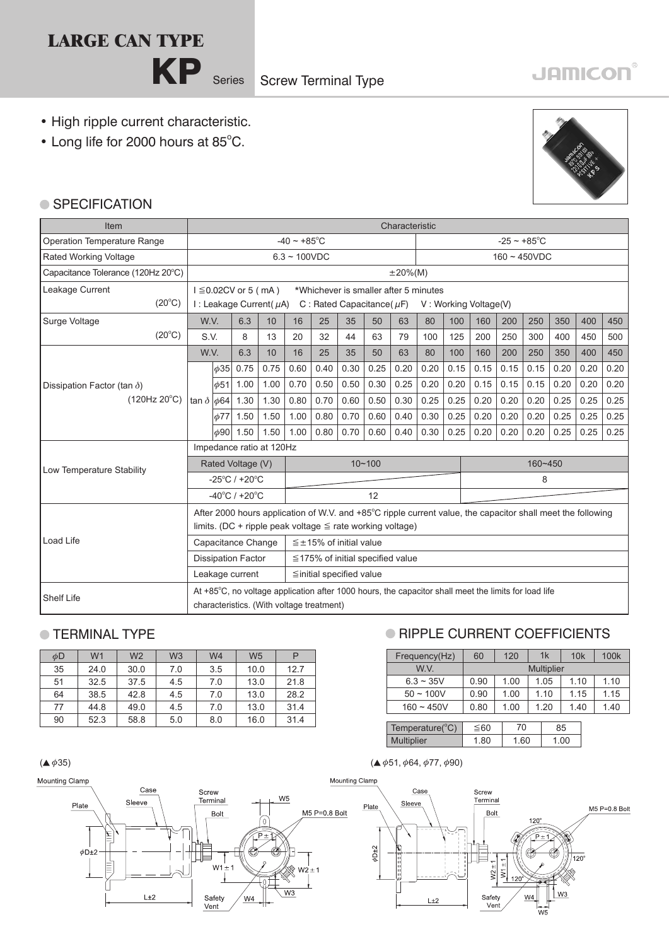# **LARGE CAN TYPE**

# • High ripple current characteristic.

• Long life for 2000 hours at 85°C.



**JAMICON®** 

#### ● SPECIFICATION

| Item                               |                        | Characteristic                                              |                                    |                                                                                                                                                   |                                                                           |                                        |      |      |                       |                          |      |      |      |                |      |      |      |
|------------------------------------|------------------------|-------------------------------------------------------------|------------------------------------|---------------------------------------------------------------------------------------------------------------------------------------------------|---------------------------------------------------------------------------|----------------------------------------|------|------|-----------------------|--------------------------|------|------|------|----------------|------|------|------|
| <b>Operation Temperature Range</b> |                        |                                                             |                                    |                                                                                                                                                   | $-40 \sim +85^{\circ}$ C                                                  |                                        |      |      |                       | $-25 \sim +85^{\circ}$ C |      |      |      |                |      |      |      |
| Rated Working Voltage              |                        |                                                             |                                    |                                                                                                                                                   | $6.3 \sim 100$ VDC                                                        |                                        |      |      |                       |                          |      |      |      | $160 - 450VDC$ |      |      |      |
| Capacitance Tolerance (120Hz 20°C) |                        |                                                             |                                    |                                                                                                                                                   |                                                                           |                                        |      |      | $±20\%(M)$            |                          |      |      |      |                |      |      |      |
| Leakage Current<br>$(20^{\circ}C)$ |                        | $I \leq 0.02$ CV or 5 (mA)<br>I : Leakage Current( $\mu$ A) |                                    |                                                                                                                                                   | *Whichever is smaller after 5 minutes<br>C : Rated Capacitance ( $\mu$ F) |                                        |      |      | V: Working Voltage(V) |                          |      |      |      |                |      |      |      |
| Surge Voltage                      | W.V.                   |                                                             | 6.3                                | 10                                                                                                                                                | 16                                                                        | 25                                     | 35   | 50   | 63                    | 80                       | 100  | 160  | 200  | 250            | 350  | 400  | 450  |
| $(20^{\circ}C)$                    | S.V.                   |                                                             | 8                                  | 13                                                                                                                                                | 20                                                                        | 32                                     | 44   | 63   | 79                    | 100                      | 125  | 200  | 250  | 300            | 400  | 450  | 500  |
|                                    | W.V.                   |                                                             | 6.3                                | 10                                                                                                                                                | 16                                                                        | 25                                     | 35   | 50   | 63                    | 80                       | 100  | 160  | 200  | 250            | 350  | 400  | 450  |
|                                    |                        | $\phi$ 35                                                   | 0.75                               | 0.75                                                                                                                                              | 0.60                                                                      | 0.40                                   | 0.30 | 0.25 | 0.20                  | 0.20                     | 0.15 | 0.15 | 0.15 | 0.15           | 0.20 | 0.20 | 0.20 |
| Dissipation Factor (tan $\delta$ ) |                        | $\phi$ 51                                                   | 1.00                               | 1.00                                                                                                                                              | 0.70                                                                      | 0.50                                   | 0.50 | 0.30 | 0.25                  | 0.20                     | 0.20 | 0.15 | 0.15 | 0.15           | 0.20 | 0.20 | 0.20 |
| $(120Hz 20^{\circ}C)$              | tan $\delta  \phi 64 $ |                                                             | 1.30                               | 1.30                                                                                                                                              | 0.80                                                                      | 0.70                                   | 0.60 | 0.50 | 0.30                  | 0.25                     | 0.25 | 0.20 | 0.20 | 0.20           | 0.25 | 0.25 | 0.25 |
|                                    |                        | $\phi$ 77                                                   | 1.50                               | 1.50                                                                                                                                              | 1.00                                                                      | 0.80                                   | 0.70 | 0.60 | 0.40                  | 0.30                     | 0.25 | 0.20 | 0.20 | 0.20           | 0.25 | 0.25 | 0.25 |
|                                    |                        | $ \phi$ 90                                                  | 1.50                               | 1.50                                                                                                                                              | 1.00                                                                      | 0.80                                   | 0.70 | 0.60 | 0.40                  | 0.30                     | 0.25 | 0.20 | 0.20 | 0.20           | 0.25 | 0.25 | 0.25 |
|                                    |                        | Impedance ratio at 120Hz                                    |                                    |                                                                                                                                                   |                                                                           |                                        |      |      |                       |                          |      |      |      |                |      |      |      |
| Low Temperature Stability          |                        | Rated Voltage (V)                                           |                                    |                                                                                                                                                   | $10 - 100$                                                                |                                        |      |      | 160~450               |                          |      |      |      |                |      |      |      |
|                                    |                        |                                                             | $-25^{\circ}$ C / +20 $^{\circ}$ C |                                                                                                                                                   |                                                                           |                                        |      |      | 8                     |                          |      |      |      |                |      |      |      |
|                                    |                        |                                                             | $-40^{\circ}$ C / +20 $^{\circ}$ C |                                                                                                                                                   |                                                                           | 12                                     |      |      |                       |                          |      |      |      |                |      |      |      |
|                                    |                        |                                                             |                                    | After 2000 hours application of W.V. and +85°C ripple current value, the capacitor shall meet the following                                       |                                                                           |                                        |      |      |                       |                          |      |      |      |                |      |      |      |
|                                    |                        |                                                             |                                    | limits. (DC + ripple peak voltage $\leq$ rate working voltage)                                                                                    |                                                                           |                                        |      |      |                       |                          |      |      |      |                |      |      |      |
| Load Life                          |                        |                                                             | Capacitance Change                 |                                                                                                                                                   |                                                                           | $\leq \pm 15\%$ of initial value       |      |      |                       |                          |      |      |      |                |      |      |      |
|                                    |                        |                                                             | <b>Dissipation Factor</b>          |                                                                                                                                                   |                                                                           | $\leq$ 175% of initial specified value |      |      |                       |                          |      |      |      |                |      |      |      |
|                                    |                        |                                                             | Leakage current                    |                                                                                                                                                   |                                                                           | $\leq$ initial specified value         |      |      |                       |                          |      |      |      |                |      |      |      |
| <b>Shelf Life</b>                  |                        |                                                             |                                    | At +85°C, no voltage application after 1000 hours, the capacitor shall meet the limits for load life<br>characteristics. (With voltage treatment) |                                                                           |                                        |      |      |                       |                          |      |      |      |                |      |      |      |

### **O TFRMINAL TYPE**

| $\phi$ D | W <sub>1</sub> | W <sub>2</sub> | W3  | W <sub>4</sub> | W <sub>5</sub> |      |
|----------|----------------|----------------|-----|----------------|----------------|------|
| 35       | 24.0           | 30.0           | 7.0 | 3.5            | 10.0           | 12.7 |
| 51       | 32.5           | 37.5           | 4.5 | 7.0            | 13.0           | 21.8 |
| 64       | 38.5           | 42.8           | 4.5 | 7.0            | 13.0           | 28.2 |
| 77       | 44.8           | 49.0           | 4.5 | 7.0            | 13.0           | 31.4 |
| 90       | 52.3           | 58.8           | 5.0 | 8.0            | 16.0           | 31.4 |

Mounting Clamp

## **RIPPLE CURRENT COEFFICIENTS**

| Frequency(Hz)  | 60   | 120  | 1k                | 10k  | 100 <sub>k</sub> |
|----------------|------|------|-------------------|------|------------------|
| W.V.           |      |      | <b>Multiplier</b> |      |                  |
| $6.3 \sim 35V$ | 0.90 | 1.00 | 1.05              | 1.10 | 1.10             |
| $50 \sim 100V$ | 0.90 | 1.00 | 1.10              | 1.15 | 1.15             |
| $160 - 450V$   | 0.80 | 1.00 | 1.20              | 1.40 | 1.40             |

| Temperature( ${}^{\circ}$ C) |     |  |
|------------------------------|-----|--|
| dtiplier<br>Mu               | -60 |  |

 $($  4 $\phi$ 35)  $($   $\phi$ 55)  $)$ 

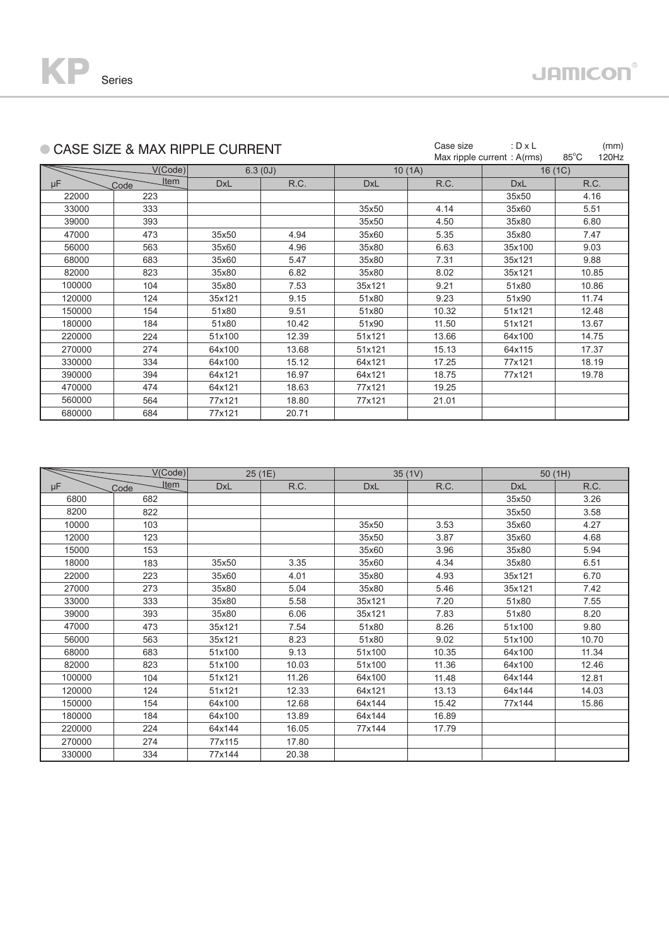|        | CASE SIZE & MAX RIPPLE CURRENT |            |         |            | Case size | : $D \times L$<br>Max ripple current: A(rms) | (mm)<br>$85^{\circ}$ C<br>120Hz |
|--------|--------------------------------|------------|---------|------------|-----------|----------------------------------------------|---------------------------------|
|        | V(Code)                        |            | 6.3(0J) |            | 10(1A)    |                                              | 16 (1C)                         |
| μF     | Item<br>Code                   | <b>DxL</b> | R.C.    | <b>DxL</b> | R.C.      | <b>DxL</b>                                   | R.C.                            |
| 22000  | 223                            |            |         |            |           | 35x50                                        | 4.16                            |
| 33000  | 333                            |            |         | 35x50      | 4.14      | 35x60                                        | 5.51                            |
| 39000  | 393                            |            |         | 35x50      | 4.50      | 35x80                                        | 6.80                            |
| 47000  | 473                            | 35x50      | 4.94    | 35x60      | 5.35      | 35x80                                        | 7.47                            |
| 56000  | 563                            | 35x60      | 4.96    | 35x80      | 6.63      | 35x100                                       | 9.03                            |
| 68000  | 683                            | 35x60      | 5.47    | 35x80      | 7.31      | 35x121                                       | 9.88                            |
| 82000  | 823                            | 35x80      | 6.82    | 35x80      | 8.02      | 35x121                                       | 10.85                           |
| 100000 | 104                            | 35x80      | 7.53    | 35x121     | 9.21      | 51x80                                        | 10.86                           |
| 120000 | 124                            | 35x121     | 9.15    | 51x80      | 9.23      | 51x90                                        | 11.74                           |
| 150000 | 154                            | 51x80      | 9.51    | 51x80      | 10.32     | 51x121                                       | 12.48                           |
| 180000 | 184                            | 51x80      | 10.42   | 51x90      | 11.50     | 51x121                                       | 13.67                           |
| 220000 | 224                            | 51x100     | 12.39   | 51x121     | 13.66     | 64x100                                       | 14.75                           |
| 270000 | 274                            | 64x100     | 13.68   | 51x121     | 15.13     | 64x115                                       | 17.37                           |
| 330000 | 334                            | 64x100     | 15.12   | 64x121     | 17.25     | 77x121                                       | 18.19                           |
| 390000 | 394                            | 64x121     | 16.97   | 64x121     | 18.75     | 77x121                                       | 19.78                           |
| 470000 | 474                            | 64x121     | 18.63   | 77x121     | 19.25     |                                              |                                 |
| 560000 | 564                            | 77x121     | 18.80   | 77x121     | 21.01     |                                              |                                 |
| 680000 | 684                            | 77x121     | 20.71   |            |           |                                              |                                 |

|        | V(Code)             |            | 25(1E) |            | 35(1V) | 50(1H)     |       |
|--------|---------------------|------------|--------|------------|--------|------------|-------|
| μF     | <u>Item</u><br>Code | <b>DxL</b> | R.C.   | <b>DxL</b> | R.C.   | <b>DxL</b> | R.C.  |
| 6800   | 682                 |            |        |            |        | 35x50      | 3.26  |
| 8200   | 822                 |            |        |            |        | 35x50      | 3.58  |
| 10000  | 103                 |            |        | 35x50      | 3.53   | 35x60      | 4.27  |
| 12000  | 123                 |            |        | 35x50      | 3.87   | 35x60      | 4.68  |
| 15000  | 153                 |            |        | 35x60      | 3.96   | 35x80      | 5.94  |
| 18000  | 183                 | 35x50      | 3.35   | 35x60      | 4.34   | 35x80      | 6.51  |
| 22000  | 223                 | 35x60      | 4.01   | 35x80      | 4.93   | 35x121     | 6.70  |
| 27000  | 273                 | 35x80      | 5.04   | 35x80      | 5.46   | 35x121     | 7.42  |
| 33000  | 333                 | 35x80      | 5.58   | 35x121     | 7.20   | 51x80      | 7.55  |
| 39000  | 393                 | 35x80      | 6.06   | 35x121     | 7.83   | 51x80      | 8.20  |
| 47000  | 473                 | 35x121     | 7.54   | 51x80      | 8.26   | 51x100     | 9.80  |
| 56000  | 563                 | 35x121     | 8.23   | 51x80      | 9.02   | 51x100     | 10.70 |
| 68000  | 683                 | 51x100     | 9.13   | 51x100     | 10.35  | 64x100     | 11.34 |
| 82000  | 823                 | 51x100     | 10.03  | 51x100     | 11.36  | 64x100     | 12.46 |
| 100000 | 104                 | 51x121     | 11.26  | 64x100     | 11.48  | 64x144     | 12.81 |
| 120000 | 124                 | 51x121     | 12.33  | 64x121     | 13.13  | 64x144     | 14.03 |
| 150000 | 154                 | 64x100     | 12.68  | 64x144     | 15.42  | 77x144     | 15.86 |
| 180000 | 184                 | 64x100     | 13.89  | 64x144     | 16.89  |            |       |
| 220000 | 224                 | 64x144     | 16.05  | 77x144     | 17.79  |            |       |
| 270000 | 274                 | 77x115     | 17.80  |            |        |            |       |
| 330000 | 334                 | 77x144     | 20.38  |            |        |            |       |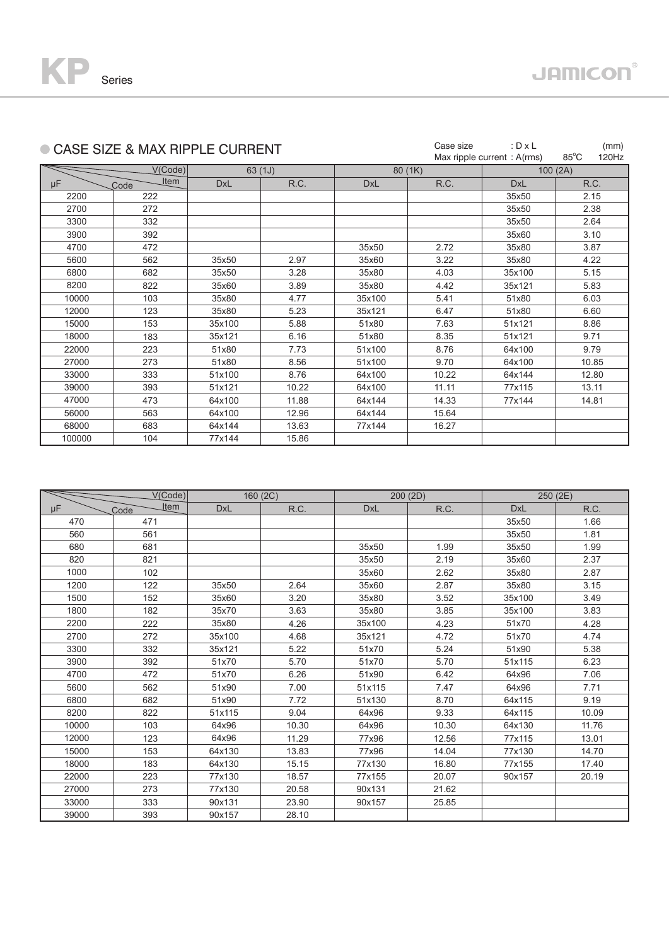

|        | ● CASE SIZE & MAX RIPPLE CURRENT |            |        |            | Case size | : $D \times L$<br>Max ripple current : A(rms) | (mm)<br>$85^{\circ}$ C<br>120Hz |
|--------|----------------------------------|------------|--------|------------|-----------|-----------------------------------------------|---------------------------------|
|        | V(Code)                          |            |        |            |           |                                               |                                 |
|        | <u>Item</u>                      |            | 63(1J) |            | 80(1K)    |                                               | 100(2A)                         |
| μF     | Code                             | <b>DxL</b> | R.C.   | <b>DxL</b> | R.C.      | <b>DxL</b>                                    | R.C.                            |
| 2200   | 222                              |            |        |            |           | 35x50                                         | 2.15                            |
| 2700   | 272                              |            |        |            |           | 35x50                                         | 2.38                            |
| 3300   | 332                              |            |        |            |           | 35x50                                         | 2.64                            |
| 3900   | 392                              |            |        |            |           | 35x60                                         | 3.10                            |
| 4700   | 472                              |            |        | 35x50      | 2.72      | 35x80                                         | 3.87                            |
| 5600   | 562                              | 35x50      | 2.97   | 35x60      | 3.22      | 35x80                                         | 4.22                            |
| 6800   | 682                              | 35x50      | 3.28   | 35x80      | 4.03      | 35x100                                        | 5.15                            |
| 8200   | 822                              | 35x60      | 3.89   | 35x80      | 4.42      | 35x121                                        | 5.83                            |
| 10000  | 103                              | 35x80      | 4.77   | 35x100     | 5.41      | 51x80                                         | 6.03                            |
| 12000  | 123                              | 35x80      | 5.23   | 35x121     | 6.47      | 51x80                                         | 6.60                            |
| 15000  | 153                              | 35x100     | 5.88   | 51x80      | 7.63      | 51x121                                        | 8.86                            |
| 18000  | 183                              | 35x121     | 6.16   | 51x80      | 8.35      | 51x121                                        | 9.71                            |
| 22000  | 223                              | 51x80      | 7.73   | 51x100     | 8.76      | 64x100                                        | 9.79                            |
| 27000  | 273                              | 51x80      | 8.56   | 51x100     | 9.70      | 64x100                                        | 10.85                           |
| 33000  | 333                              | 51x100     | 8.76   | 64x100     | 10.22     | 64x144                                        | 12.80                           |
| 39000  | 393                              | 51x121     | 10.22  | 64x100     | 11.11     | 77x115                                        | 13.11                           |
| 47000  | 473                              | 64x100     | 11.88  | 64x144     | 14.33     | 77x144                                        | 14.81                           |
| 56000  | 563                              | 64x100     | 12.96  | 64x144     | 15.64     |                                               |                                 |
| 68000  | 683                              | 64x144     | 13.63  | 77x144     | 16.27     |                                               |                                 |
| 100000 | 104                              | 77x144     | 15.86  |            |           |                                               |                                 |

|       | V(Code)             |            | 160(2C) |            | 200(2D) | 250(2E)    |       |
|-------|---------------------|------------|---------|------------|---------|------------|-------|
| μF    | <b>Item</b><br>Code | <b>DxL</b> | R.C.    | <b>DxL</b> | R.C.    | <b>DxL</b> | R.C.  |
| 470   | 471                 |            |         |            |         | 35x50      | 1.66  |
| 560   | 561                 |            |         |            |         | 35x50      | 1.81  |
| 680   | 681                 |            |         | 35x50      | 1.99    | 35x50      | 1.99  |
| 820   | 821                 |            |         | 35x50      | 2.19    | 35x60      | 2.37  |
| 1000  | 102                 |            |         | 35x60      | 2.62    | 35x80      | 2.87  |
| 1200  | 122                 | 35x50      | 2.64    | 35x60      | 2.87    | 35x80      | 3.15  |
| 1500  | 152                 | 35x60      | 3.20    | 35x80      | 3.52    | 35x100     | 3.49  |
| 1800  | 182                 | 35x70      | 3.63    | 35x80      | 3.85    | 35x100     | 3.83  |
| 2200  | 222                 | 35x80      | 4.26    | 35x100     | 4.23    | 51x70      | 4.28  |
| 2700  | 272                 | 35x100     | 4.68    | 35x121     | 4.72    | 51x70      | 4.74  |
| 3300  | 332                 | 35x121     | 5.22    | 51x70      | 5.24    | 51x90      | 5.38  |
| 3900  | 392                 | 51x70      | 5.70    | 51x70      | 5.70    | 51x115     | 6.23  |
| 4700  | 472                 | 51x70      | 6.26    | 51x90      | 6.42    | 64x96      | 7.06  |
| 5600  | 562                 | 51x90      | 7.00    | 51x115     | 7.47    | 64x96      | 7.71  |
| 6800  | 682                 | 51x90      | 7.72    | 51x130     | 8.70    | 64x115     | 9.19  |
| 8200  | 822                 | 51x115     | 9.04    | 64x96      | 9.33    | 64x115     | 10.09 |
| 10000 | 103                 | 64x96      | 10.30   | 64x96      | 10.30   | 64x130     | 11.76 |
| 12000 | 123                 | 64x96      | 11.29   | 77x96      | 12.56   | 77x115     | 13.01 |
| 15000 | 153                 | 64x130     | 13.83   | 77x96      | 14.04   | 77x130     | 14.70 |
| 18000 | 183                 | 64x130     | 15.15   | 77x130     | 16.80   | 77x155     | 17.40 |
| 22000 | 223                 | 77x130     | 18.57   | 77x155     | 20.07   | 90x157     | 20.19 |
| 27000 | 273                 | 77x130     | 20.58   | 90x131     | 21.62   |            |       |
| 33000 | 333                 | 90x131     | 23.90   | 90x157     | 25.85   |            |       |
| 39000 | 393                 | 90x157     | 28.10   |            |         |            |       |